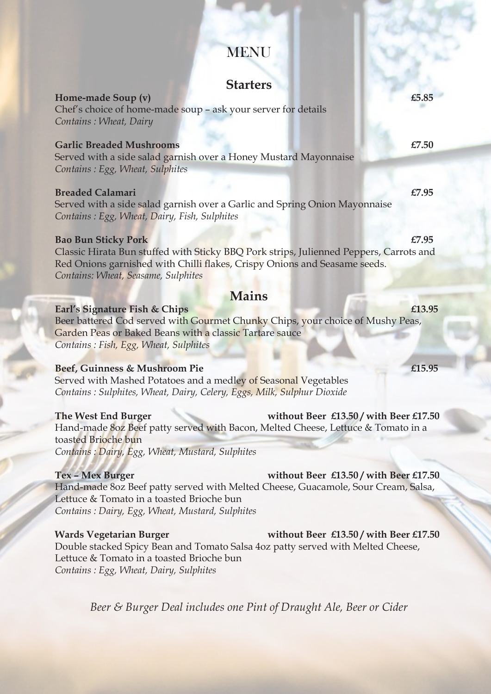# MENU

## **Starters**

**Home-made Soup (v) £5.85** Chef's choice of home-made soup – ask your server for details *Contains : Wheat, Dairy*

### **Garlic Breaded Mushrooms** *£7.50***</del>**

Served with a side salad garnish over a Honey Mustard Mayonnaise *Contains : Egg, Wheat, Sulphites*

#### **Breaded Calamari E7.95**

Served with a side salad garnish over a Garlic and Spring Onion Mayonnaise *Contains : Egg, Wheat, Dairy, Fish, Sulphites*

#### **Bao Bun Sticky Pork £7.95**

Classic Hirata Bun stuffed with Sticky BBQ Pork strips, Julienned Peppers, Carrots and Red Onions garnished with Chilli flakes, Crispy Onions and Seasame seeds. *Contains: Wheat, Seasame, Sulphites*

## **Mains**

#### **Earl's Signature Fish & Chips £13.95**

Beer battered Cod served with Gourmet Chunky Chips, your choice of Mushy Peas, Garden Peas or Baked Beans with a classic Tartare sauce *Contains : Fish, Egg, Wheat, Sulphites*

### **Beef, Guinness & Mushroom Pie £15.95**

Served with Mashed Potatoes and a medley of Seasonal Vegetables *Contains : Sulphites, Wheat, Dairy, Celery, Eggs, Milk, Sulphur Dioxide*

#### **The West End Burger without Beer £13.50 / with Beer £17.50**

Hand-made 8oz Beef patty served with Bacon, Melted Cheese, Lettuce & Tomato in a toasted Brioche bun *Contains : Dairy, Egg, Wheat, Mustard, Sulphites*

**Tex – Mex Burger without Beer £13.50 / with Beer £17.50**

Hand-made 8oz Beef patty served with Melted Cheese, Guacamole, Sour Cream, Salsa, Lettuce & Tomato in a toasted Brioche bun *Contains : Dairy, Egg, Wheat, Mustard, Sulphites*

#### **Wards Vegetarian Burger without Beer £13.50 / with Beer £17.50**

Double stacked Spicy Bean and Tomato Salsa 4oz patty served with Melted Cheese, Lettuce & Tomato in a toasted Brioche bun *Contains : Egg, Wheat, Dairy, Sulphites*

*Beer & Burger Deal includes one Pint of Draught Ale, Beer or Cider*